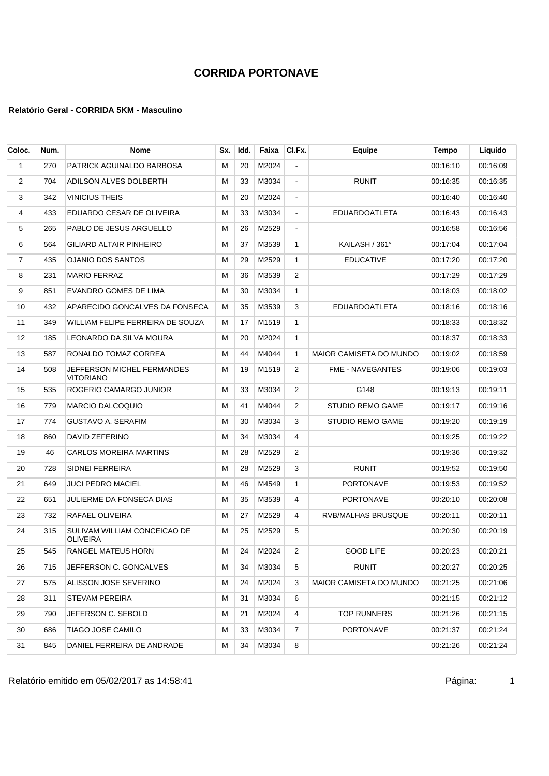#### **Relatório Geral - CORRIDA 5KM - Masculino**

| Coloc.         | Num. | Nome                                            | Sx. | Idd. | Faixa | CI.Fx.         | Equipe                         | Tempo    | Liquido  |
|----------------|------|-------------------------------------------------|-----|------|-------|----------------|--------------------------------|----------|----------|
| 1              | 270  | PATRICK AGUINALDO BARBOSA                       | м   | 20   | M2024 | $\overline{a}$ |                                | 00:16:10 | 00:16:09 |
| $\overline{2}$ | 704  | ADILSON ALVES DOLBERTH                          | м   | 33   | M3034 | $\blacksquare$ | <b>RUNIT</b>                   | 00:16:35 | 00:16:35 |
| 3              | 342  | <b>VINICIUS THEIS</b>                           | М   | 20   | M2024 | $\blacksquare$ |                                | 00:16:40 | 00:16:40 |
| 4              | 433  | EDUARDO CESAR DE OLIVEIRA                       | М   | 33   | M3034 | $\blacksquare$ | <b>EDUARDOATLETA</b>           | 00:16:43 | 00:16:43 |
| 5              | 265  | PABLO DE JESUS ARGUELLO                         | м   | 26   | M2529 | $\blacksquare$ |                                | 00:16:58 | 00:16:56 |
| 6              | 564  | <b>GILIARD ALTAIR PINHEIRO</b>                  | М   | 37   | M3539 | 1              | KAILASH / 361°                 | 00:17:04 | 00:17:04 |
| $\overline{7}$ | 435  | <b>OJANIO DOS SANTOS</b>                        | м   | 29   | M2529 | $\mathbf{1}$   | <b>EDUCATIVE</b>               | 00:17:20 | 00:17:20 |
| 8              | 231  | <b>MARIO FERRAZ</b>                             | м   | 36   | M3539 | 2              |                                | 00:17:29 | 00:17:29 |
| 9              | 851  | EVANDRO GOMES DE LIMA                           | М   | 30   | M3034 | 1              |                                | 00:18:03 | 00:18:02 |
| 10             | 432  | APARECIDO GONCALVES DA FONSECA                  | М   | 35   | M3539 | 3              | <b>EDUARDOATLETA</b>           | 00:18:16 | 00:18:16 |
| 11             | 349  | WILLIAM FELIPE FERREIRA DE SOUZA                | м   | 17   | M1519 | 1              |                                | 00:18:33 | 00:18:32 |
| 12             | 185  | LEONARDO DA SILVA MOURA                         | м   | 20   | M2024 | $\mathbf{1}$   |                                | 00:18:37 | 00:18:33 |
| 13             | 587  | RONALDO TOMAZ CORREA                            | м   | 44   | M4044 | $\mathbf{1}$   | <b>MAIOR CAMISETA DO MUNDO</b> | 00:19:02 | 00:18:59 |
| 14             | 508  | JEFFERSON MICHEL FERMANDES<br><b>VITORIANO</b>  | Μ   | 19   | M1519 | 2              | <b>FME - NAVEGANTES</b>        | 00:19:06 | 00:19:03 |
| 15             | 535  | ROGERIO CAMARGO JUNIOR                          | М   | 33   | M3034 | 2              | G148                           | 00:19:13 | 00:19:11 |
| 16             | 779  | <b>MARCIO DALCOQUIO</b>                         | М   | 41   | M4044 | 2              | <b>STUDIO REMO GAME</b>        | 00:19:17 | 00:19:16 |
| 17             | 774  | <b>GUSTAVO A. SERAFIM</b>                       | М   | 30   | M3034 | 3              | <b>STUDIO REMO GAME</b>        | 00:19:20 | 00:19:19 |
| 18             | 860  | DAVID ZEFERINO                                  | м   | 34   | M3034 | 4              |                                | 00:19:25 | 00:19:22 |
| 19             | 46   | <b>CARLOS MOREIRA MARTINS</b>                   | М   | 28   | M2529 | 2              |                                | 00:19:36 | 00:19:32 |
| 20             | 728  | SIDNEI FERREIRA                                 | м   | 28   | M2529 | 3              | <b>RUNIT</b>                   | 00:19:52 | 00:19:50 |
| 21             | 649  | JUCI PEDRO MACIEL                               | М   | 46   | M4549 | $\mathbf{1}$   | <b>PORTONAVE</b>               | 00:19:53 | 00:19:52 |
| 22             | 651  | JULIERME DA FONSECA DIAS                        | М   | 35   | M3539 | 4              | <b>PORTONAVE</b>               | 00:20:10 | 00:20:08 |
| 23             | 732  | RAFAEL OLIVEIRA                                 | м   | 27   | M2529 | 4              | RVB/MALHAS BRUSQUE             | 00:20:11 | 00:20:11 |
| 24             | 315  | SULIVAM WILLIAM CONCEICAO DE<br><b>OLIVEIRA</b> | м   | 25   | M2529 | 5              |                                | 00:20:30 | 00:20:19 |
| 25             | 545  | RANGEL MATEUS HORN                              | М   | 24   | M2024 | 2              | <b>GOOD LIFE</b>               | 00:20:23 | 00:20:21 |
| 26             | 715  | JEFFERSON C. GONCALVES                          | Μ   | 34   | M3034 | 5              | <b>RUNIT</b>                   | 00:20:27 | 00:20:25 |
| 27             | 575  | ALISSON JOSE SEVERINO                           | М   | 24   | M2024 | 3              | <b>MAIOR CAMISETA DO MUNDO</b> | 00:21:25 | 00:21:06 |
| 28             | 311  | STEVAM PEREIRA                                  | М   | 31   | M3034 | 6              |                                | 00:21:15 | 00:21:12 |
| 29             | 790  | JEFERSON C. SEBOLD                              | М   | 21   | M2024 | 4              | <b>TOP RUNNERS</b>             | 00:21:26 | 00:21:15 |
| 30             | 686  | TIAGO JOSE CAMILO                               | м   | 33   | M3034 | 7              | <b>PORTONAVE</b>               | 00:21:37 | 00:21:24 |
| 31             | 845  | DANIEL FERREIRA DE ANDRADE                      | Μ   | 34   | M3034 | 8              |                                | 00:21:26 | 00:21:24 |

Relatório emitido em 05/02/2017 as 14:58:41 composito emitido em 05/02/2017 as 14:58:41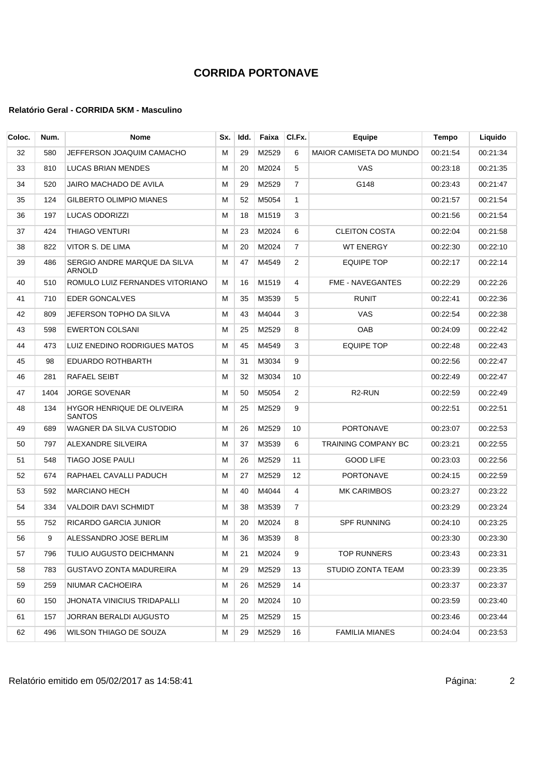| Coloc. | Num. | <b>Nome</b>                                 | Sx. | Idd. | Faixa | CI.Fx.         | Equipe                         | <b>Tempo</b> | Liquido  |
|--------|------|---------------------------------------------|-----|------|-------|----------------|--------------------------------|--------------|----------|
| 32     | 580  | JEFFERSON JOAQUIM CAMACHO                   | м   | 29   | M2529 | 6              | <b>MAIOR CAMISETA DO MUNDO</b> | 00:21:54     | 00:21:34 |
| 33     | 810  | LUCAS BRIAN MENDES                          | М   | 20   | M2024 | 5              | <b>VAS</b>                     | 00:23:18     | 00:21:35 |
| 34     | 520  | JAIRO MACHADO DE AVILA                      | м   | 29   | M2529 | $\overline{7}$ | G148                           | 00:23:43     | 00:21:47 |
| 35     | 124  | <b>GILBERTO OLIMPIO MIANES</b>              | м   | 52   | M5054 | $\mathbf{1}$   |                                | 00:21:57     | 00:21:54 |
| 36     | 197  | LUCAS ODORIZZI                              | М   | 18   | M1519 | 3              |                                | 00:21:56     | 00:21:54 |
| 37     | 424  | THIAGO VENTURI                              | M   | 23   | M2024 | 6              | <b>CLEITON COSTA</b>           | 00:22:04     | 00:21:58 |
| 38     | 822  | VITOR S. DE LIMA                            | м   | 20   | M2024 | 7              | <b>WT ENERGY</b>               | 00:22:30     | 00:22:10 |
| 39     | 486  | SERGIO ANDRE MARQUE DA SILVA<br>ARNOLD      | М   | 47   | M4549 | 2              | <b>EQUIPE TOP</b>              | 00:22:17     | 00:22:14 |
| 40     | 510  | ROMULO LUIZ FERNANDES VITORIANO             | м   | 16   | M1519 | 4              | <b>FME - NAVEGANTES</b>        | 00:22:29     | 00:22:26 |
| 41     | 710  | <b>EDER GONCALVES</b>                       | М   | 35   | M3539 | 5              | <b>RUNIT</b>                   | 00:22:41     | 00:22:36 |
| 42     | 809  | JEFERSON TOPHO DA SILVA                     | М   | 43   | M4044 | 3              | VAS                            | 00:22:54     | 00:22:38 |
| 43     | 598  | <b>EWERTON COLSANI</b>                      | м   | 25   | M2529 | 8              | OAB                            | 00:24:09     | 00:22:42 |
| 44     | 473  | LUIZ ENEDINO RODRIGUES MATOS                | М   | 45   | M4549 | 3              | <b>EQUIPE TOP</b>              | 00:22:48     | 00:22:43 |
| 45     | 98   | EDUARDO ROTHBARTH                           | м   | 31   | M3034 | 9              |                                | 00:22:56     | 00:22:47 |
| 46     | 281  | RAFAEL SEIBT                                | M   | 32   | M3034 | 10             |                                | 00:22:49     | 00:22:47 |
| 47     | 1404 | <b>JORGE SOVENAR</b>                        | М   | 50   | M5054 | 2              | R <sub>2</sub> -RUN            | 00:22:59     | 00:22:49 |
| 48     | 134  | HYGOR HENRIQUE DE OLIVEIRA<br><b>SANTOS</b> | м   | 25   | M2529 | 9              |                                | 00:22:51     | 00:22:51 |
| 49     | 689  | WAGNER DA SILVA CUSTODIO                    | м   | 26   | M2529 | 10             | <b>PORTONAVE</b>               | 00:23:07     | 00:22:53 |
| 50     | 797  | ALEXANDRE SILVEIRA                          | м   | 37   | M3539 | 6              | <b>TRAINING COMPANY BC</b>     | 00.23.21     | 00:22:55 |
| 51     | 548  | TIAGO JOSE PAULI                            | М   | 26   | M2529 | 11             | <b>GOOD LIFE</b>               | 00:23:03     | 00:22:56 |
| 52     | 674  | RAPHAEL CAVALLI PADUCH                      | М   | 27   | M2529 | 12             | PORTONAVE                      | 00:24:15     | 00:22:59 |
| 53     | 592  | <b>MARCIANO HECH</b>                        | м   | 40   | M4044 | 4              | <b>MK CARIMBOS</b>             | 00:23:27     | 00:23:22 |
| 54     | 334  | <b>VALDOIR DAVI SCHMIDT</b>                 | М   | 38   | M3539 | 7              |                                | 00:23:29     | 00:23:24 |
| 55     | 752  | RICARDO GARCIA JUNIOR                       | М   | 20   | M2024 | 8              | <b>SPF RUNNING</b>             | 00:24:10     | 00:23:25 |
| 56     | 9    | ALESSANDRO JOSE BERLIM                      | м   | 36   | M3539 | 8              |                                | 00:23:30     | 00:23:30 |
| 57     | 796  | TULIO AUGUSTO DEICHMANN                     | м   | 21   | M2024 | 9              | <b>TOP RUNNERS</b>             | 00:23:43     | 00:23:31 |
| 58     | 783  | GUSTAVO ZONTA MADUREIRA                     | M   | 29   | M2529 | 13             | STUDIO ZONTA TEAM              | 00:23:39     | 00:23:35 |
| 59     | 259  | NIUMAR CACHOEIRA                            | M   | 26   | M2529 | 14             |                                | 00:23:37     | 00:23:37 |
| 60     | 150  | <b>JHONATA VINICIUS TRIDAPALLI</b>          | M   | 20   | M2024 | 10             |                                | 00:23:59     | 00:23:40 |
| 61     | 157  | JORRAN BERALDI AUGUSTO                      | M   | 25   | M2529 | 15             |                                | 00:23:46     | 00:23:44 |
| 62     | 496  | WILSON THIAGO DE SOUZA                      | м   | 29   | M2529 | 16             | <b>FAMILIA MIANES</b>          | 00:24:04     | 00:23:53 |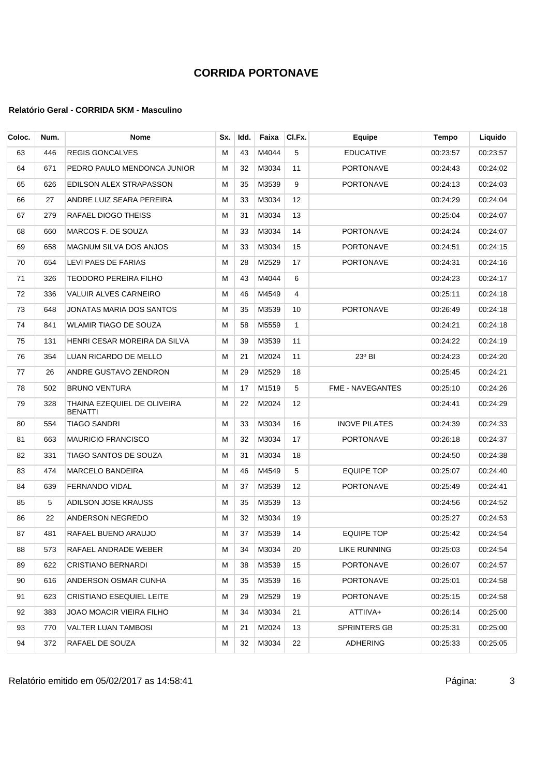#### **Relatório Geral - CORRIDA 5KM - Masculino**

| Coloc. | Num. | <b>Nome</b>                                   | Sx. | Idd. | Faixa | CI.Fx.       | Equipe                  | Tempo    | Liquido  |
|--------|------|-----------------------------------------------|-----|------|-------|--------------|-------------------------|----------|----------|
| 63     | 446  | <b>REGIS GONCALVES</b>                        | M   | 43   | M4044 | 5            | <b>EDUCATIVE</b>        | 00:23:57 | 00:23:57 |
| 64     | 671  | PEDRO PAULO MENDONCA JUNIOR                   | м   | 32   | M3034 | 11           | <b>PORTONAVE</b>        | 00:24:43 | 00:24:02 |
| 65     | 626  | EDILSON ALEX STRAPASSON                       | м   | 35   | M3539 | 9            | <b>PORTONAVE</b>        | 00:24:13 | 00:24:03 |
| 66     | 27   | ANDRE LUIZ SEARA PEREIRA                      | М   | 33   | M3034 | 12           |                         | 00:24:29 | 00:24:04 |
| 67     | 279  | RAFAEL DIOGO THEISS                           | М   | 31   | M3034 | 13           |                         | 00:25:04 | 00:24:07 |
| 68     | 660  | MARCOS F. DE SOUZA                            | м   | 33   | M3034 | 14           | <b>PORTONAVE</b>        | 00:24:24 | 00:24:07 |
| 69     | 658  | MAGNUM SILVA DOS ANJOS                        | М   | 33   | M3034 | 15           | PORTONAVE               | 00:24:51 | 00:24:15 |
| 70     | 654  | LEVI PAES DE FARIAS                           | М   | 28   | M2529 | 17           | PORTONAVE               | 00:24:31 | 00:24:16 |
| 71     | 326  | TEODORO PEREIRA FILHO                         | м   | 43   | M4044 | 6            |                         | 00:24:23 | 00:24:17 |
| 72     | 336  | VALUIR ALVES CARNEIRO                         | М   | 46   | M4549 | 4            |                         | 00:25:11 | 00:24:18 |
| 73     | 648  | JONATAS MARIA DOS SANTOS                      | М   | 35   | M3539 | 10           | <b>PORTONAVE</b>        | 00:26:49 | 00:24:18 |
| 74     | 841  | <b>WLAMIR TIAGO DE SOUZA</b>                  | М   | 58   | M5559 | $\mathbf{1}$ |                         | 00:24:21 | 00:24:18 |
| 75     | 131  | HENRI CESAR MOREIRA DA SILVA                  | М   | 39   | M3539 | 11           |                         | 00:24:22 | 00:24:19 |
| 76     | 354  | LUAN RICARDO DE MELLO                         | м   | 21   | M2024 | 11           | $23^{\circ}$ BI         | 00:24:23 | 00:24:20 |
| 77     | 26   | ANDRE GUSTAVO ZENDRON                         | М   | 29   | M2529 | 18           |                         | 00:25:45 | 00:24:21 |
| 78     | 502  | <b>BRUNO VENTURA</b>                          | м   | 17   | M1519 | 5            | <b>FME - NAVEGANTES</b> | 00:25:10 | 00:24:26 |
| 79     | 328  | THAINA EZEQUIEL DE OLIVEIRA<br><b>BENATTI</b> | М   | 22   | M2024 | 12           |                         | 00:24:41 | 00:24:29 |
| 80     | 554  | TIAGO SANDRI                                  | М   | 33   | M3034 | 16           | <b>INOVE PILATES</b>    | 00:24:39 | 00:24:33 |
| 81     | 663  | <b>MAURICIO FRANCISCO</b>                     | М   | 32   | M3034 | 17           | PORTONAVE               | 00:26:18 | 00:24:37 |
| 82     | 331  | TIAGO SANTOS DE SOUZA                         | М   | 31   | M3034 | 18           |                         | 00:24:50 | 00:24:38 |
| 83     | 474  | <b>MARCELO BANDEIRA</b>                       | М   | 46   | M4549 | 5            | <b>EQUIPE TOP</b>       | 00:25:07 | 00:24:40 |
| 84     | 639  | <b>FERNANDO VIDAL</b>                         | М   | 37   | M3539 | 12           | <b>PORTONAVE</b>        | 00:25:49 | 00:24:41 |
| 85     | 5    | ADILSON JOSE KRAUSS                           | М   | 35   | M3539 | 13           |                         | 00:24:56 | 00:24:52 |
| 86     | 22   | ANDERSON NEGREDO                              | м   | 32   | M3034 | 19           |                         | 00:25:27 | 00:24:53 |
| 87     | 481  | RAFAEL BUENO ARAUJO                           | м   | 37   | M3539 | 14           | <b>EQUIPE TOP</b>       | 00:25:42 | 00:24:54 |
| 88     | 573  | RAFAEL ANDRADE WEBER                          | м   | 34   | M3034 | 20           | LIKE RUNNING            | 00:25:03 | 00:24:54 |
| 89     | 622  | CRISTIANO BERNARDI                            | М   | 38   | M3539 | 15           | PORTONAVE               | 00:26:07 | 00:24:57 |
| 90     | 616  | ANDERSON OSMAR CUNHA                          | M   | 35   | M3539 | 16           | PORTONAVE               | 00:25:01 | 00:24:58 |
| 91     | 623  | <b>CRISTIANO ESEQUIEL LEITE</b>               | м   | 29   | M2529 | 19           | PORTONAVE               | 00:25:15 | 00:24:58 |
| 92     | 383  | JOAO MOACIR VIEIRA FILHO                      | м   | 34   | M3034 | 21           | ATTIIVA+                | 00:26:14 | 00:25:00 |
| 93     | 770  | VALTER LUAN TAMBOSI                           | М   | 21   | M2024 | 13           | SPRINTERS GB            | 00:25:31 | 00:25:00 |
| 94     | 372  | RAFAEL DE SOUZA                               | м   | 32   | M3034 | 22           | ADHERING                | 00:25:33 | 00:25:05 |

Relatório emitido em 05/02/2017 as 14:58:41 <br>
3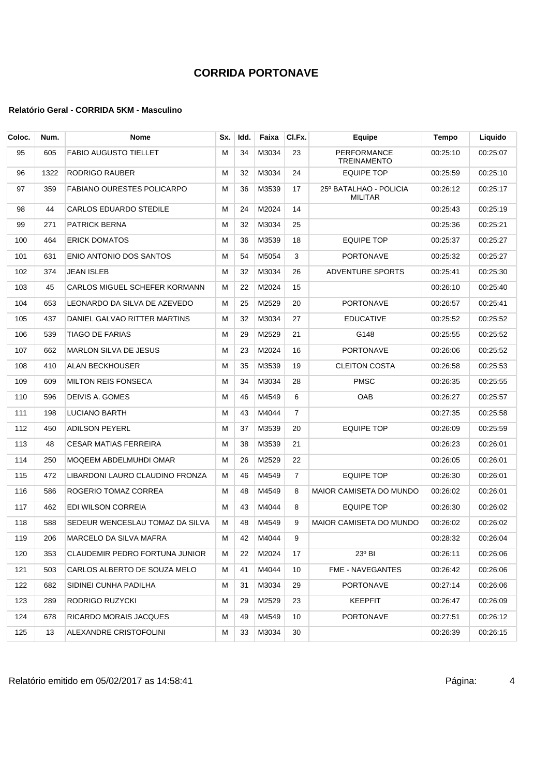| Coloc. | Num. | <b>Nome</b>                       | Sx. | Idd. | Faixa | CI.Fx.         | Equipe                                   | Tempo    | Liquido  |
|--------|------|-----------------------------------|-----|------|-------|----------------|------------------------------------------|----------|----------|
| 95     | 605  | <b>FABIO AUGUSTO TIELLET</b>      | M   | 34   | M3034 | 23             | <b>PERFORMANCE</b><br><b>TREINAMENTO</b> | 00:25:10 | 00:25:07 |
| 96     | 1322 | RODRIGO RAUBER                    | М   | 32   | M3034 | 24             | <b>EQUIPE TOP</b>                        | 00:25:59 | 00:25:10 |
| 97     | 359  | <b>FABIANO OURESTES POLICARPO</b> | M   | 36   | M3539 | 17             | 25º BATALHAO - POLICIA<br><b>MILITAR</b> | 00:26:12 | 00:25:17 |
| 98     | 44   | CARLOS EDUARDO STEDILE            | M   | 24   | M2024 | 14             |                                          | 00:25:43 | 00:25:19 |
| 99     | 271  | <b>PATRICK BERNA</b>              | М   | 32   | M3034 | 25             |                                          | 00:25:36 | 00:25:21 |
| 100    | 464  | <b>ERICK DOMATOS</b>              | M   | 36   | M3539 | 18             | <b>EQUIPE TOP</b>                        | 00:25:37 | 00:25:27 |
| 101    | 631  | ENIO ANTONIO DOS SANTOS           | м   | 54   | M5054 | 3              | <b>PORTONAVE</b>                         | 00:25:32 | 00:25:27 |
| 102    | 374  | <b>JEAN ISLEB</b>                 | M   | 32   | M3034 | 26             | <b>ADVENTURE SPORTS</b>                  | 00:25:41 | 00:25:30 |
| 103    | 45   | CARLOS MIGUEL SCHEFER KORMANN     | M   | 22   | M2024 | 15             |                                          | 00:26:10 | 00:25:40 |
| 104    | 653  | LEONARDO DA SILVA DE AZEVEDO      | М   | 25   | M2529 | 20             | <b>PORTONAVE</b>                         | 00:26:57 | 00:25:41 |
| 105    | 437  | DANIEL GALVAO RITTER MARTINS      | M   | 32   | M3034 | 27             | <b>EDUCATIVE</b>                         | 00:25:52 | 00:25:52 |
| 106    | 539  | <b>TIAGO DE FARIAS</b>            | М   | 29   | M2529 | 21             | G148                                     | 00:25:55 | 00:25:52 |
| 107    | 662  | <b>MARLON SILVA DE JESUS</b>      | м   | 23   | M2024 | 16             | <b>PORTONAVE</b>                         | 00:26:06 | 00:25:52 |
| 108    | 410  | <b>ALAN BECKHOUSER</b>            | М   | 35   | M3539 | 19             | <b>CLEITON COSTA</b>                     | 00:26:58 | 00:25:53 |
| 109    | 609  | <b>MILTON REIS FONSECA</b>        | M   | 34   | M3034 | 28             | <b>PMSC</b>                              | 00:26:35 | 00:25:55 |
| 110    | 596  | DEIVIS A. GOMES                   | М   | 46   | M4549 | 6              | <b>OAB</b>                               | 00:26:27 | 00:25:57 |
| 111    | 198  | LUCIANO BARTH                     | M   | 43   | M4044 | $\overline{7}$ |                                          | 00:27:35 | 00:25:58 |
| 112    | 450  | <b>ADILSON PEYERL</b>             | M   | 37   | M3539 | 20             | EQUIPE TOP                               | 00:26:09 | 00:25:59 |
| 113    | 48   | <b>CESAR MATIAS FERREIRA</b>      | м   | 38   | M3539 | 21             |                                          | 00:26:23 | 00:26:01 |
| 114    | 250  | MOQEEM ABDELMUHDI OMAR            | M   | 26   | M2529 | 22             |                                          | 00:26:05 | 00:26:01 |
| 115    | 472  | LIBARDONI LAURO CLAUDINO FRONZA   | M   | 46   | M4549 | $\overline{7}$ | <b>EQUIPE TOP</b>                        | 00:26:30 | 00:26:01 |
| 116    | 586  | ROGERIO TOMAZ CORREA              | M   | 48   | M4549 | 8              | <b>MAIOR CAMISETA DO MUNDO</b>           | 00:26:02 | 00:26:01 |
| 117    | 462  | EDI WILSON CORREIA                | М   | 43   | M4044 | 8              | EQUIPE TOP                               | 00:26:30 | 00:26:02 |
| 118    | 588  | SEDEUR WENCESLAU TOMAZ DA SILVA   | м   | 48   | M4549 | 9              | <b>MAIOR CAMISETA DO MUNDO</b>           | 00:26:02 | 00:26:02 |
| 119    | 206  | MARCELO DA SILVA MAFRA            | M   | 42   | M4044 | 9              |                                          | 00:28:32 | 00:26:04 |
| 120    | 353  | CLAUDEMIR PEDRO FORTUNA JUNIOR    | м   | 22   | M2024 | 17             | $23^{\circ}$ BI                          | 00:26:11 | 00:26:06 |
| 121    | 503  | CARLOS ALBERTO DE SOUZA MELO      | М   | 41   | M4044 | 10             | FME - NAVEGANTES                         | 00:26:42 | 00:26:06 |
| 122    | 682  | SIDINEI CUNHA PADILHA             | М   | 31   | M3034 | 29             | PORTONAVE                                | 00:27:14 | 00:26:06 |
| 123    | 289  | RODRIGO RUZYCKI                   | М   | 29   | M2529 | 23             | <b>KEEPFIT</b>                           | 00:26:47 | 00:26:09 |
| 124    | 678  | RICARDO MORAIS JACQUES            | м   | 49   | M4549 | 10             | PORTONAVE                                | 00:27:51 | 00:26:12 |
| 125    | 13   | ALEXANDRE CRISTOFOLINI            | м   | 33   | M3034 | 30             |                                          | 00:26:39 | 00:26:15 |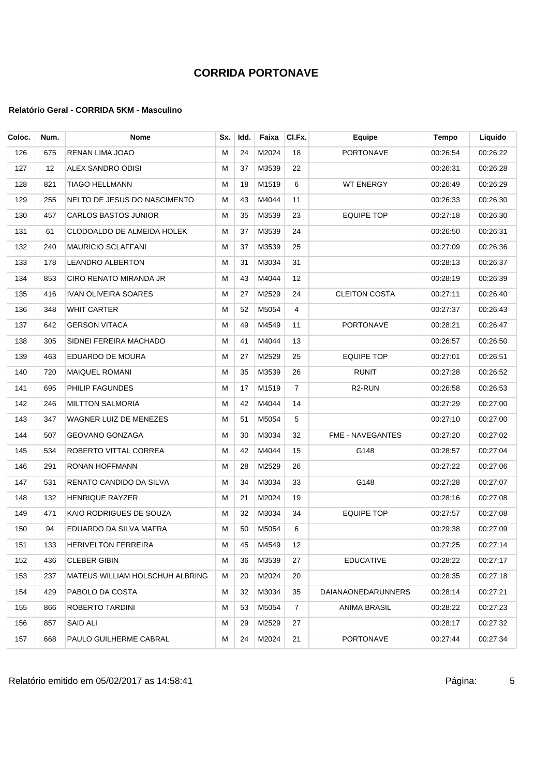| Coloc. | Num. | <b>Nome</b>                     | Sx. | Idd. | Faixa    | CI.Fx.         | <b>Equipe</b>        | <b>Tempo</b> | Liquido  |
|--------|------|---------------------------------|-----|------|----------|----------------|----------------------|--------------|----------|
| 126    | 675  | RENAN LIMA JOAO                 | м   | 24   | M2024    | 18             | <b>PORTONAVE</b>     | 00:26:54     | 00:26:22 |
| 127    | 12   | ALEX SANDRO ODISI               | м   | 37   | M3539    | 22             |                      | 00:26:31     | 00:26:28 |
| 128    | 821  | <b>TIAGO HELLMANN</b>           | м   | 18   | M1519    | 6              | <b>WT ENERGY</b>     | 00:26:49     | 00:26:29 |
| 129    | 255  | NELTO DE JESUS DO NASCIMENTO    | м   | 43   | M4044    | 11             |                      | 00:26:33     | 00:26:30 |
| 130    | 457  | <b>CARLOS BASTOS JUNIOR</b>     | м   | 35   | M3539    | 23             | <b>EQUIPE TOP</b>    | 00:27:18     | 00:26:30 |
| 131    | 61   | CLODOALDO DE ALMEIDA HOLEK      | м   | 37   | M3539    | 24             |                      | 00:26:50     | 00:26:31 |
| 132    | 240  | <b>MAURICIO SCLAFFANI</b>       | м   | 37   | M3539    | 25             |                      | 00:27:09     | 00:26:36 |
| 133    | 178  | <b>LEANDRO ALBERTON</b>         | м   | 31   | M3034    | 31             |                      | 00:28:13     | 00:26:37 |
| 134    | 853  | CIRO RENATO MIRANDA JR          | М   | 43   | M4044    | 12             |                      | 00:28:19     | 00:26:39 |
| 135    | 416  | <b>IVAN OLIVEIRA SOARES</b>     | М   | 27   | M2529    | 24             | <b>CLEITON COSTA</b> | 00:27:11     | 00:26:40 |
| 136    | 348  | WHIT CARTER                     | M   | 52   | M5054    | 4              |                      | 00:27:37     | 00:26:43 |
| 137    | 642  | <b>GERSON VITACA</b>            | м   | 49   | M4549    | 11             | <b>PORTONAVE</b>     | 00:28:21     | 00:26:47 |
| 138    | 305  | SIDNEI FEREIRA MACHADO          | м   | 41   | M4044    | 13             |                      | 00:26:57     | 00:26:50 |
| 139    | 463  | EDUARDO DE MOURA                | м   | 27   | M2529    | 25             | <b>EQUIPE TOP</b>    | 00:27:01     | 00:26:51 |
| 140    | 720  | <b>MAIQUEL ROMANI</b>           | м   | 35   | M3539    | 26             | <b>RUNIT</b>         | 00:27:28     | 00:26:52 |
| 141    | 695  | PHILIP FAGUNDES                 | М   | 17   | M1519    | $\overline{7}$ | R <sub>2</sub> -RUN  | 00:26:58     | 00:26:53 |
| 142    | 246  | MILTTON SALMORIA                | м   | 42   | M4044    | 14             |                      | 00:27:29     | 00:27:00 |
| 143    | 347  | WAGNER LUIZ DE MENEZES          | м   | 51   | M5054    | 5              |                      | 00:27:10     | 00:27:00 |
| 144    | 507  | GEOVANO GONZAGA                 | м   | 30   | M3034    | 32             | FME - NAVEGANTES     | 00:27:20     | 00:27:02 |
| 145    | 534  | ROBERTO VITTAL CORREA           | м   | 42   | M4044    | 15             | G148                 | 00:28:57     | 00:27:04 |
| 146    | 291  | RONAN HOFFMANN                  | м   | 28   | M2529    | 26             |                      | 00:27:22     | 00:27:06 |
| 147    | 531  | RENATO CANDIDO DA SILVA         | M   | 34   | M3034    | 33             | G148                 | 00:27:28     | 00:27:07 |
| 148    | 132  | <b>HENRIQUE RAYZER</b>          | М   | 21   | M2024    | 19             |                      | 00:28:16     | 00:27:08 |
| 149    | 471  | KAIO RODRIGUES DE SOUZA         | м   | 32   | M3034    | 34             | <b>EQUIPE TOP</b>    | 00:27:57     | 00:27:08 |
| 150    | 94   | EDUARDO DA SILVA MAFRA          | м   | 50   | M5054    | 6              |                      | 00:29:38     | 00:27:09 |
| 151    | 133  | <b>HERIVELTON FERREIRA</b>      | M   |      | 45 M4549 | 12             |                      | 00:27:25     | 00:27:14 |
| 152    | 436  | <b>CLEBER GIBIN</b>             | М   | 36   | M3539    | 27             | <b>EDUCATIVE</b>     | 00:28:22     | 00:27:17 |
| 153    | 237  | MATEUS WILLIAM HOLSCHUH ALBRING | м   | 20   | M2024    | 20             |                      | 00:28:35     | 00:27:18 |
| 154    | 429  | PABOLO DA COSTA                 | м   | 32   | M3034    | 35             | DAIANAONEDARUNNERS   | 00:28:14     | 00:27:21 |
| 155    | 866  | ROBERTO TARDINI                 | м   | 53   | M5054    | 7              | ANIMA BRASIL         | 00:28:22     | 00:27:23 |
| 156    | 857  | SAID ALI                        | м   | 29   | M2529    | 27             |                      | 00:28:17     | 00:27:32 |
| 157    | 668  | PAULO GUILHERME CABRAL          | м   | 24   | M2024    | 21             | <b>PORTONAVE</b>     | 00:27:44     | 00:27:34 |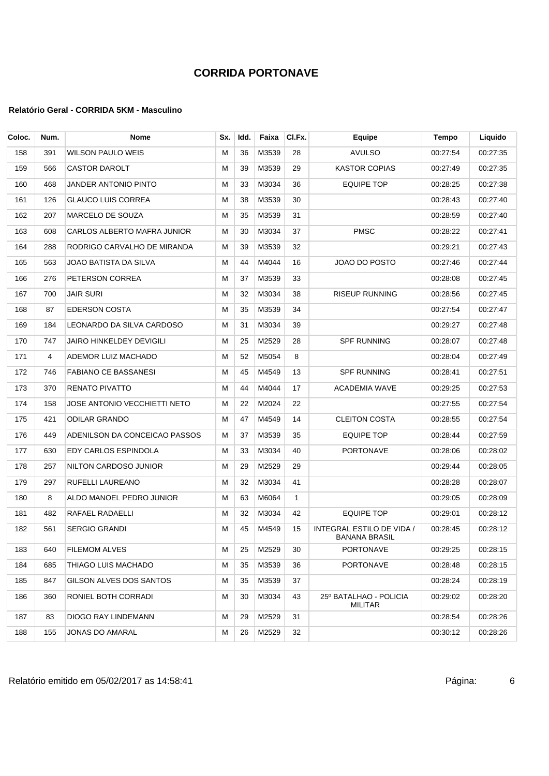#### **Relatório Geral - CORRIDA 5KM - Masculino**

| Coloc. | Num. | Nome                               | Sx. | Idd. | Faixa | CI.Fx.       | Equipe                                                   | Tempo    | Liquido  |
|--------|------|------------------------------------|-----|------|-------|--------------|----------------------------------------------------------|----------|----------|
| 158    | 391  | <b>WILSON PAULO WEIS</b>           | м   | 36   | M3539 | 28           | <b>AVULSO</b>                                            | 00:27:54 | 00:27:35 |
| 159    | 566  | <b>CASTOR DAROLT</b>               | м   | 39   | M3539 | 29           | <b>KASTOR COPIAS</b>                                     | 00:27:49 | 00:27:35 |
| 160    | 468  | JANDER ANTONIO PINTO               | М   | 33   | M3034 | 36           | <b>EQUIPE TOP</b>                                        | 00:28:25 | 00:27:38 |
| 161    | 126  | <b>GLAUCO LUIS CORREA</b>          | м   | 38   | M3539 | 30           |                                                          | 00:28:43 | 00.27:40 |
| 162    | 207  | MARCELO DE SOUZA                   | M   | 35   | M3539 | 31           |                                                          | 00:28:59 | 00.27:40 |
| 163    | 608  | <b>CARLOS ALBERTO MAFRA JUNIOR</b> | M   | 30   | M3034 | 37           | <b>PMSC</b>                                              | 00:28:22 | 00:27:41 |
| 164    | 288  | RODRIGO CARVALHO DE MIRANDA        | м   | 39   | M3539 | 32           |                                                          | 00:29:21 | 00.27.43 |
| 165    | 563  | JOAO BATISTA DA SILVA              | М   | 44   | M4044 | 16           | JOAO DO POSTO                                            | 00:27:46 | 00.27.44 |
| 166    | 276  | PETERSON CORREA                    | M   | 37   | M3539 | 33           |                                                          | 00:28:08 | 00:27:45 |
| 167    | 700  | JAIR SURI                          | М   | 32   | M3034 | 38           | <b>RISEUP RUNNING</b>                                    | 00:28:56 | 00:27:45 |
| 168    | 87   | <b>EDERSON COSTA</b>               | M   | 35   | M3539 | 34           |                                                          | 00:27:54 | 00.27:47 |
| 169    | 184  | LEONARDO DA SILVA CARDOSO          | М   | 31   | M3034 | 39           |                                                          | 00:29:27 | 00:27:48 |
| 170    | 747  | <b>JAIRO HINKELDEY DEVIGILI</b>    | М   | 25   | M2529 | 28           | <b>SPF RUNNING</b>                                       | 00:28:07 | 00:27:48 |
| 171    | 4    | ADEMOR LUIZ MACHADO                | м   | 52   | M5054 | 8            |                                                          | 00:28:04 | 00.27:49 |
| 172    | 746  | <b>FABIANO CE BASSANESI</b>        | М   | 45   | M4549 | 13           | <b>SPF RUNNING</b>                                       | 00:28:41 | 00:27:51 |
| 173    | 370  | <b>RENATO PIVATTO</b>              | м   | 44   | M4044 | 17           | <b>ACADEMIA WAVE</b>                                     | 00:29:25 | 00:27:53 |
| 174    | 158  | JOSE ANTONIO VECCHIETTI NETO       | M   | 22   | M2024 | 22           |                                                          | 00:27:55 | 00:27:54 |
| 175    | 421  | <b>ODILAR GRANDO</b>               | м   | 47   | M4549 | 14           | <b>CLEITON COSTA</b>                                     | 00:28:55 | 00:27:54 |
| 176    | 449  | ADENILSON DA CONCEICAO PASSOS      | м   | 37   | M3539 | 35           | <b>EQUIPE TOP</b>                                        | 00:28:44 | 00:27:59 |
| 177    | 630  | EDY CARLOS ESPINDOLA               | М   | 33   | M3034 | 40           | PORTONAVE                                                | 00:28:06 | 00:28:02 |
| 178    | 257  | NILTON CARDOSO JUNIOR              | м   | 29   | M2529 | 29           |                                                          | 00:29:44 | 00:28:05 |
| 179    | 297  | RUFELLI LAUREANO                   | М   | 32   | M3034 | 41           |                                                          | 00:28:28 | 00:28:07 |
| 180    | 8    | ALDO MANOEL PEDRO JUNIOR           | M   | 63   | M6064 | $\mathbf{1}$ |                                                          | 00:29:05 | 00:28:09 |
| 181    | 482  | RAFAEL RADAELLI                    | м   | 32   | M3034 | 42           | <b>EQUIPE TOP</b>                                        | 00:29:01 | 00:28:12 |
| 182    | 561  | <b>SERGIO GRANDI</b>               | M   | 45   | M4549 | 15           | <b>INTEGRAL ESTILO DE VIDA /</b><br><b>BANANA BRASIL</b> | 00:28:45 | 00:28:12 |
| 183    | 640  | <b>FILEMOM ALVES</b>               | м   | 25   | M2529 | 30           | PORTONAVE                                                | 00:29:25 | 00:28:15 |
| 184    | 685  | THIAGO LUIS MACHADO                | м   | 35   | M3539 | 36           | PORTONAVE                                                | 00:28:48 | 00:28:15 |
| 185    | 847  | GILSON ALVES DOS SANTOS            | M   | 35   | M3539 | 37           |                                                          | 00:28:24 | 00:28:19 |
| 186    | 360  | RONIEL BOTH CORRADI                | м   | 30   | M3034 | 43           | 25º BATALHAO - POLICIA<br>MILITAR                        | 00:29:02 | 00:28:20 |
| 187    | 83   | <b>DIOGO RAY LINDEMANN</b>         | м   | 29   | M2529 | 31           |                                                          | 00:28:54 | 00:28:26 |
| 188    | 155  | JONAS DO AMARAL                    | м   | 26   | M2529 | 32           |                                                          | 00:30:12 | 00:28:26 |

Relatório emitido em 05/02/2017 as 14:58:41 Página: 6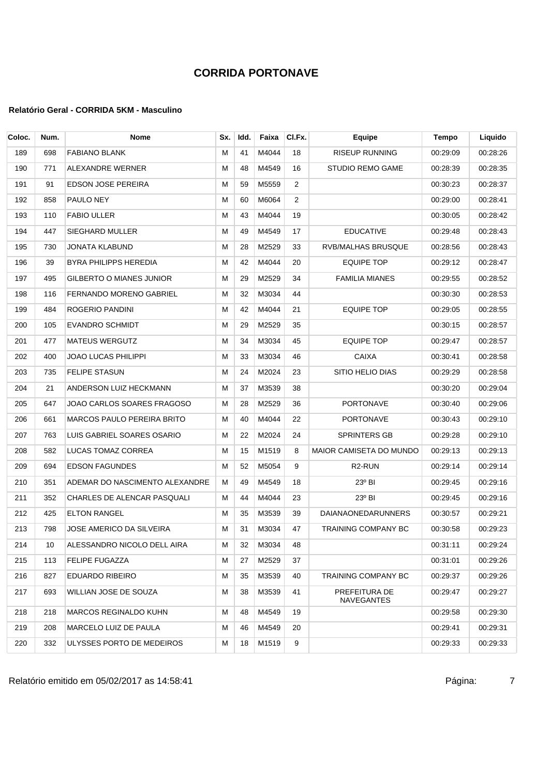#### **Relatório Geral - CORRIDA 5KM - Masculino**

| Coloc. | Num. | Nome                              | Sx. | Idd. | Faixa | CI.Fx. | Equipe                         | Tempo    | Liquido  |
|--------|------|-----------------------------------|-----|------|-------|--------|--------------------------------|----------|----------|
| 189    | 698  | <b>FABIANO BLANK</b>              | м   | 41   | M4044 | 18     | <b>RISEUP RUNNING</b>          | 00:29:09 | 00:28:26 |
| 190    | 771  | ALEXANDRE WERNER                  | м   | 48   | M4549 | 16     | <b>STUDIO REMO GAME</b>        | 00:28:39 | 00:28:35 |
| 191    | 91   | <b>EDSON JOSE PEREIRA</b>         | М   | 59   | M5559 | 2      |                                | 00:30:23 | 00:28:37 |
| 192    | 858  | PAULO NEY                         | М   | 60   | M6064 | 2      |                                | 00:29:00 | 00:28:41 |
| 193    | 110  | <b>FABIO ULLER</b>                | М   | 43   | M4044 | 19     |                                | 00:30:05 | 00:28:42 |
| 194    | 447  | <b>SIEGHARD MULLER</b>            | М   | 49   | M4549 | 17     | <b>EDUCATIVE</b>               | 00:29:48 | 00:28:43 |
| 195    | 730  | JONATA KLABUND                    | м   | 28   | M2529 | 33     | RVB/MALHAS BRUSQUE             | 00:28:56 | 00:28:43 |
| 196    | 39   | BYRA PHILIPPS HEREDIA             | М   | 42   | M4044 | 20     | <b>EQUIPE TOP</b>              | 00:29:12 | 00:28:47 |
| 197    | 495  | GILBERTO O MIANES JUNIOR          | м   | 29   | M2529 | 34     | <b>FAMILIA MIANES</b>          | 00:29:55 | 00:28:52 |
| 198    | 116  | <b>FERNANDO MORENO GABRIEL</b>    | м   | 32   | M3034 | 44     |                                | 00:30:30 | 00:28:53 |
| 199    | 484  | ROGERIO PANDINI                   | М   | 42   | M4044 | 21     | <b>EQUIPE TOP</b>              | 00:29:05 | 00:28:55 |
| 200    | 105  | <b>EVANDRO SCHMIDT</b>            | м   | 29   | M2529 | 35     |                                | 00:30:15 | 00:28:57 |
| 201    | 477  | <b>MATEUS WERGUTZ</b>             | м   | 34   | M3034 | 45     | <b>EQUIPE TOP</b>              | 00:29:47 | 00:28:57 |
| 202    | 400  | JOAO LUCAS PHILIPPI               | м   | 33   | M3034 | 46     | <b>CAIXA</b>                   | 00:30:41 | 00:28:58 |
| 203    | 735  | <b>FELIPE STASUN</b>              | м   | 24   | M2024 | 23     | SITIO HELIO DIAS               | 00:29:29 | 00:28:58 |
| 204    | 21   | ANDERSON LUIZ HECKMANN            | м   | 37   | M3539 | 38     |                                | 00:30:20 | 00:29:04 |
| 205    | 647  | JOAO CARLOS SOARES FRAGOSO        | М   | 28   | M2529 | 36     | <b>PORTONAVE</b>               | 00:30:40 | 00:29:06 |
| 206    | 661  | <b>MARCOS PAULO PEREIRA BRITO</b> | м   | 40   | M4044 | 22     | <b>PORTONAVE</b>               | 00:30:43 | 00:29:10 |
| 207    | 763  | LUIS GABRIEL SOARES OSARIO        | м   | 22   | M2024 | 24     | <b>SPRINTERS GB</b>            | 00:29:28 | 00:29:10 |
| 208    | 582  | LUCAS TOMAZ CORREA                | М   | 15   | M1519 | 8      | <b>MAIOR CAMISETA DO MUNDO</b> | 00:29:13 | 00:29:13 |
| 209    | 694  | <b>EDSON FAGUNDES</b>             | м   | 52   | M5054 | 9      | R <sub>2</sub> -RUN            | 00:29:14 | 00:29:14 |
| 210    | 351  | ADEMAR DO NASCIMENTO ALEXANDRE    | м   | 49   | M4549 | 18     | 23° BI                         | 00:29:45 | 00:29:16 |
| 211    | 352  | CHARLES DE ALENCAR PASQUALI       | М   | 44   | M4044 | 23     | 23° BI                         | 00:29:45 | 00:29:16 |
| 212    | 425  | <b>ELTON RANGEL</b>               | м   | 35   | M3539 | 39     | <b>DAIANAONEDARUNNERS</b>      | 00:30:57 | 00:29:21 |
| 213    | 798  | JOSE AMERICO DA SILVEIRA          | м   | 31   | M3034 | 47     | TRAINING COMPANY BC            | 00:30:58 | 00:29:23 |
| 214    | 10   | ALESSANDRO NICOLO DELL AIRA       | M   | 32   | M3034 | 48     |                                | 00:31:11 | 00:29:24 |
| 215    | 113  | <b>FELIPE FUGAZZA</b>             | м   | 27   | M2529 | 37     |                                | 00:31:01 | 00:29:26 |
| 216    | 827  | EDUARDO RIBEIRO                   | м   | 35   | M3539 | 40     | TRAINING COMPANY BC            | 00:29:37 | 00:29:26 |
| 217    | 693  | WILLIAN JOSE DE SOUZA             | M   | 38   | M3539 | 41     | PREFEITURA DE<br>NAVEGANTES    | 00:29:47 | 00:29:27 |
| 218    | 218  | <b>MARCOS REGINALDO KUHN</b>      | м   | 48   | M4549 | 19     |                                | 00:29:58 | 00:29:30 |
| 219    | 208  | MARCELO LUIZ DE PAULA             | м   | 46   | M4549 | 20     |                                | 00:29:41 | 00:29:31 |
| 220    | 332  | ULYSSES PORTO DE MEDEIROS         | м   | 18   | M1519 | 9      |                                | 00:29:33 | 00:29:33 |

Relatório emitido em 05/02/2017 as 14:58:41 <br>
T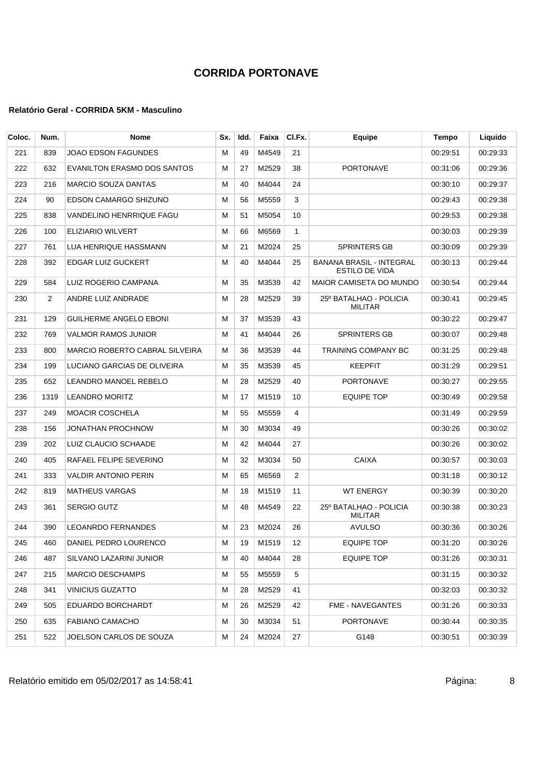| Coloc. | Num. | <b>Nome</b>                    | Sx. | Idd. | Faixa | CI.Fx. | Equipe                                     | Tempo    | Liquido  |
|--------|------|--------------------------------|-----|------|-------|--------|--------------------------------------------|----------|----------|
| 221    | 839  | JOAO EDSON FAGUNDES            | м   | 49   | M4549 | 21     |                                            | 00:29:51 | 00:29:33 |
| 222    | 632  | EVANILTON ERASMO DOS SANTOS    | м   | 27   | M2529 | 38     | <b>PORTONAVE</b>                           | 00:31:06 | 00:29:36 |
| 223    | 216  | <b>MARCIO SOUZA DANTAS</b>     | М   | 40   | M4044 | 24     |                                            | 00:30:10 | 00:29:37 |
| 224    | 90   | EDSON CAMARGO SHIZUNO          | M   | 56   | M5559 | 3      |                                            | 00:29:43 | 00:29:38 |
| 225    | 838  | VANDELINO HENRRIQUE FAGU       | М   | 51   | M5054 | 10     |                                            | 00:29:53 | 00:29:38 |
| 226    | 100  | ELIZIARIO WILVERT              | м   | 66   | M6569 | 1      |                                            | 00:30:03 | 00:29:39 |
| 227    | 761  | LUA HENRIQUE HASSMANN          | м   | 21   | M2024 | 25     | <b>SPRINTERS GB</b>                        | 00:30:09 | 00:29:39 |
| 228    | 392  | EDGAR LUIZ GUCKERT             | М   | 40   | M4044 | 25     | BANANA BRASIL - INTEGRAL<br>ESTILO DE VIDA | 00:30:13 | 00.29.44 |
| 229    | 584  | LUIZ ROGERIO CAMPANA           | M   | 35   | M3539 | 42     | <b>MAIOR CAMISETA DO MUNDO</b>             | 00:30:54 | 00:29:44 |
| 230    | 2    | ANDRE LUIZ ANDRADE             | M   | 28   | M2529 | 39     | 25° BATALHAO - POLICIA<br><b>MILITAR</b>   | 00:30:41 | 00:29:45 |
| 231    | 129  | <b>GUILHERME ANGELO EBONI</b>  | M   | 37   | M3539 | 43     |                                            | 00:30:22 | 00:29:47 |
| 232    | 769  | <b>VALMOR RAMOS JUNIOR</b>     | М   | 41   | M4044 | 26     | <b>SPRINTERS GB</b>                        | 00:30:07 | 00:29:48 |
| 233    | 800  | MARCIO ROBERTO CABRAL SILVEIRA | м   | 36   | M3539 | 44     | <b>TRAINING COMPANY BC</b>                 | 00:31:25 | 00:29:48 |
| 234    | 199  | LUCIANO GARCIAS DE OLIVEIRA    | M   | 35   | M3539 | 45     | <b>KEEPFIT</b>                             | 00:31:29 | 00:29:51 |
| 235    | 652  | LEANDRO MANOEL REBELO          | М   | 28   | M2529 | 40     | PORTONAVE                                  | 00:30:27 | 00:29:55 |
| 236    | 1319 | <b>LEANDRO MORITZ</b>          | м   | 17   | M1519 | 10     | <b>EQUIPE TOP</b>                          | 00:30:49 | 00:29:58 |
| 237    | 249  | <b>MOACIR COSCHELA</b>         | M   | 55   | M5559 | 4      |                                            | 00:31:49 | 00:29:59 |
| 238    | 156  | JONATHAN PROCHNOW              | M   | 30   | M3034 | 49     |                                            | 00:30:26 | 00:30:02 |
| 239    | 202  | LUIZ CLAUCIO SCHAADE           | м   | 42   | M4044 | 27     |                                            | 00:30:26 | 00:30:02 |
| 240    | 405  | RAFAEL FELIPE SEVERINO         | M   | 32   | M3034 | 50     | <b>CAIXA</b>                               | 00:30:57 | 00:30:03 |
| 241    | 333  | <b>VALDIR ANTONIO PERIN</b>    | M   | 65   | M6569 | 2      |                                            | 00:31:18 | 00:30:12 |
| 242    | 819  | <b>MATHEUS VARGAS</b>          | м   | 18   | M1519 | 11     | <b>WT ENERGY</b>                           | 00:30:39 | 00:30:20 |
| 243    | 361  | <b>SERGIO GUTZ</b>             | M   | 48   | M4549 | 22     | 25º BATALHAO - POLICIA<br><b>MILITAR</b>   | 00:30:38 | 00:30:23 |
| 244    | 390  | <b>LEOANRDO FERNANDES</b>      | м   | 23   | M2024 | 26     | <b>AVULSO</b>                              | 00:30:36 | 00:30:26 |
| 245    | 460  | DANIEL PEDRO LOURENCO          | М   | 19   | M1519 | 12     | <b>EQUIPE TOP</b>                          | 00:31:20 | 00:30:26 |
| 246    | 487  | SILVANO LAZARINI JUNIOR        | м   | 40   | M4044 | 28     | EQUIPE TOP                                 | 00:31:26 | 00:30:31 |
| 247    | 215  | <b>MARCIO DESCHAMPS</b>        | м   | 55   | M5559 | 5      |                                            | 00:31:15 | 00:30:32 |
| 248    | 341  | <b>VINICIUS GUZATTO</b>        | M   | 28   | M2529 | 41     |                                            | 00:32:03 | 00:30:32 |
| 249    | 505  | EDUARDO BORCHARDT              | м   | 26   | M2529 | 42     | FME - NAVEGANTES                           | 00:31:26 | 00:30:33 |
| 250    | 635  | FABIANO CAMACHO                | м   | 30   | M3034 | 51     | PORTONAVE                                  | 00:30:44 | 00:30:35 |
| 251    | 522  | JOELSON CARLOS DE SOUZA        | М   | 24   | M2024 | 27     | G148                                       | 00:30:51 | 00:30:39 |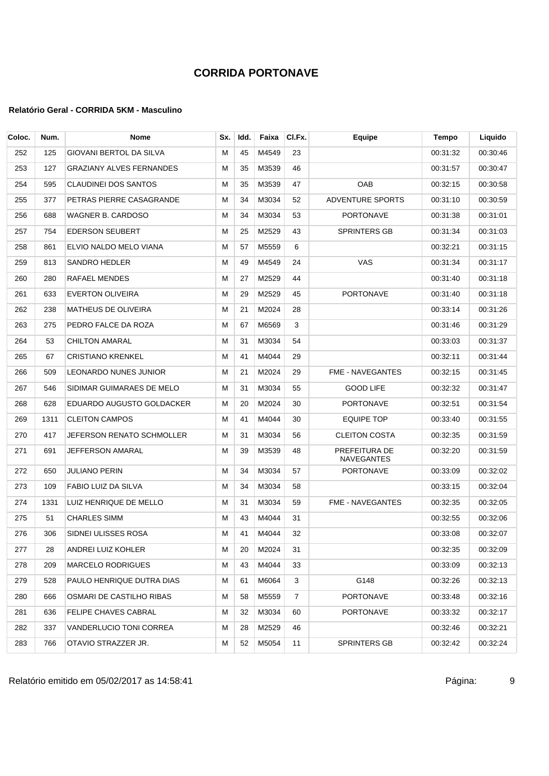#### **Relatório Geral - CORRIDA 5KM - Masculino**

| Coloc. | Num. | Nome                            | Sx. | Idd. | Faixa | CI.Fx.         | Equipe                      | Tempo    | Liquido  |
|--------|------|---------------------------------|-----|------|-------|----------------|-----------------------------|----------|----------|
| 252    | 125  | GIOVANI BERTOL DA SILVA         | M   | 45   | M4549 | 23             |                             | 00:31:32 | 00:30:46 |
| 253    | 127  | <b>GRAZIANY ALVES FERNANDES</b> | м   | 35   | M3539 | 46             |                             | 00:31:57 | 00:30:47 |
| 254    | 595  | <b>CLAUDINEI DOS SANTOS</b>     | м   | 35   | M3539 | 47             | OAB                         | 00:32:15 | 00:30:58 |
| 255    | 377  | PETRAS PIERRE CASAGRANDE        | М   | 34   | M3034 | 52             | ADVENTURE SPORTS            | 00:31:10 | 00:30:59 |
| 256    | 688  | WAGNER B. CARDOSO               | м   | 34   | M3034 | 53             | <b>PORTONAVE</b>            | 00:31:38 | 00:31:01 |
| 257    | 754  | <b>EDERSON SEUBERT</b>          | м   | 25   | M2529 | 43             | <b>SPRINTERS GB</b>         | 00:31:34 | 00:31:03 |
| 258    | 861  | ELVIO NALDO MELO VIANA          | м   | 57   | M5559 | 6              |                             | 00:32:21 | 00:31:15 |
| 259    | 813  | SANDRO HEDLER                   | м   | 49   | M4549 | 24             | <b>VAS</b>                  | 00:31:34 | 00:31:17 |
| 260    | 280  | RAFAEL MENDES                   | M   | 27   | M2529 | 44             |                             | 00:31:40 | 00:31:18 |
| 261    | 633  | <b>EVERTON OLIVEIRA</b>         | м   | 29   | M2529 | 45             | PORTONAVE                   | 00:31:40 | 00:31:18 |
| 262    | 238  | <b>MATHEUS DE OLIVEIRA</b>      | M   | 21   | M2024 | 28             |                             | 00:33:14 | 00:31:26 |
| 263    | 275  | PEDRO FALCE DA ROZA             | м   | 67   | M6569 | 3              |                             | 00:31:46 | 00:31:29 |
| 264    | 53   | <b>CHILTON AMARAL</b>           | м   | 31   | M3034 | 54             |                             | 00:33:03 | 00:31:37 |
| 265    | 67   | <b>CRISTIANO KRENKEL</b>        | м   | 41   | M4044 | 29             |                             | 00:32:11 | 00:31:44 |
| 266    | 509  | LEONARDO NUNES JUNIOR           | м   | 21   | M2024 | 29             | <b>FME - NAVEGANTES</b>     | 00:32:15 | 00:31:45 |
| 267    | 546  | SIDIMAR GUIMARAES DE MELO       | м   | 31   | M3034 | 55             | <b>GOOD LIFE</b>            | 00:32:32 | 00:31:47 |
| 268    | 628  | EDUARDO AUGUSTO GOLDACKER       | м   | 20   | M2024 | 30             | <b>PORTONAVE</b>            | 00:32:51 | 00:31:54 |
| 269    | 1311 | <b>CLEITON CAMPOS</b>           | м   | 41   | M4044 | 30             | <b>EQUIPE TOP</b>           | 00:33:40 | 00:31:55 |
| 270    | 417  | JEFERSON RENATO SCHMOLLER       | м   | 31   | M3034 | 56             | <b>CLEITON COSTA</b>        | 00:32:35 | 00:31:59 |
| 271    | 691  | JEFFERSON AMARAL                | м   | 39   | M3539 | 48             | PREFEITURA DE<br>NAVEGANTES | 00:32:20 | 00:31:59 |
| 272    | 650  | JULIANO PERIN                   | м   | 34   | M3034 | 57             | PORTONAVE                   | 00:33:09 | 00:32:02 |
| 273    | 109  | <b>FABIO LUIZ DA SILVA</b>      | м   | 34   | M3034 | 58             |                             | 00:33:15 | 00:32:04 |
| 274    | 1331 | LUIZ HENRIQUE DE MELLO          | м   | 31   | M3034 | 59             | <b>FME - NAVEGANTES</b>     | 00:32:35 | 00:32:05 |
| 275    | 51   | CHARLES SIMM                    | м   | 43   | M4044 | 31             |                             | 00:32:55 | 00:32:06 |
| 276    | 306  | SIDNEI ULISSES ROSA             | м   | 41   | M4044 | 32             |                             | 00:33:08 | 00:32:07 |
| 277    | 28   | ANDREI LUIZ KOHLER              | м   | 20   | M2024 | 31             |                             | 00:32:35 | 00:32:09 |
| 278    | 209  | <b>MARCELO RODRIGUES</b>        | м   | 43   | M4044 | 33             |                             | 00:33:09 | 00:32:13 |
| 279    | 528  | PAULO HENRIQUE DUTRA DIAS       | M   | 61   | M6064 | 3              | G148                        | 00:32:26 | 00:32:13 |
| 280    | 666  | OSMARI DE CASTILHO RIBAS        | м   | 58   | M5559 | $\overline{7}$ | PORTONAVE                   | 00:33:48 | 00:32:16 |
| 281    | 636  | <b>FELIPE CHAVES CABRAL</b>     | м   | 32   | M3034 | 60             | PORTONAVE                   | 00:33:32 | 00:32:17 |
| 282    | 337  | VANDERLUCIO TONI CORREA         | м   | 28   | M2529 | 46             |                             | 00:32:46 | 00:32:21 |
| 283    | 766  | OTAVIO STRAZZER JR.             | м   | 52   | M5054 | 11             | SPRINTERS GB                | 00:32:42 | 00:32:24 |

Relatório emitido em 05/02/2017 as 14:58:41 composito emitido em 05/02/2017 as 14:58:41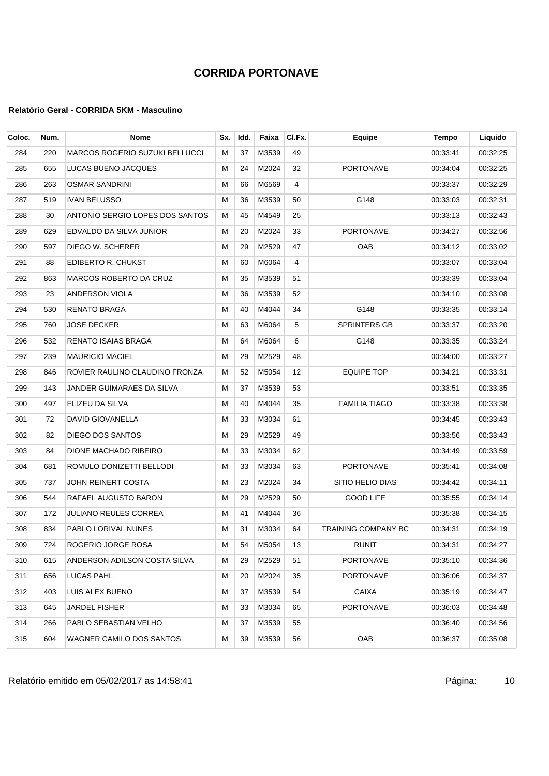| Coloc. | Num. | <b>Nome</b>                     | Sx. | Idd. | Faixa | CI.Fx. | <b>Equipe</b>              | <b>Tempo</b> | Liquido  |
|--------|------|---------------------------------|-----|------|-------|--------|----------------------------|--------------|----------|
| 284    | 220  | MARCOS ROGERIO SUZUKI BELLUCCI  | м   | 37   | M3539 | 49     |                            | 00:33:41     | 00:32:25 |
| 285    | 655  | LUCAS BUENO JACQUES             | м   | 24   | M2024 | 32     | <b>PORTONAVE</b>           | 00:34:04     | 00:32:25 |
| 286    | 263  | <b>OSMAR SANDRINI</b>           | М   | 66   | M6569 | 4      |                            | 00:33:37     | 00:32:29 |
| 287    | 519  | <b>IVAN BELUSSO</b>             | М   | 36   | M3539 | 50     | G148                       | 00:33:03     | 00:32:31 |
| 288    | 30   | ANTONIO SERGIO LOPES DOS SANTOS | М   | 45   | M4549 | 25     |                            | 00:33:13     | 00:32:43 |
| 289    | 629  | EDVALDO DA SILVA JUNIOR         | М   | 20   | M2024 | 33     | <b>PORTONAVE</b>           | 00:34:27     | 00:32:56 |
| 290    | 597  | DIEGO W. SCHERER                | М   | 29   | M2529 | 47     | <b>OAB</b>                 | 00:34:12     | 00:33:02 |
| 291    | 88   | EDIBERTO R. CHUKST              | М   | 60   | M6064 | 4      |                            | 00:33:07     | 00:33:04 |
| 292    | 863  | MARCOS ROBERTO DA CRUZ          | М   | 35   | M3539 | 51     |                            | 00:33:39     | 00:33:04 |
| 293    | 23   | ANDERSON VIOLA                  | М   | 36   | M3539 | 52     |                            | 00:34:10     | 00:33:08 |
| 294    | 530  | <b>RENATO BRAGA</b>             | M   | 40   | M4044 | 34     | G148                       | 00:33:35     | 00:33:14 |
| 295    | 760  | JOSE DECKER                     | М   | 63   | M6064 | 5      | <b>SPRINTERS GB</b>        | 00:33:37     | 00:33:20 |
| 296    | 532  | RENATO ISAIAS BRAGA             | М   | 64   | M6064 | 6      | G148                       | 00:33:35     | 00:33:24 |
| 297    | 239  | <b>MAURICIO MACIEL</b>          | м   | 29   | M2529 | 48     |                            | 00:34:00     | 00:33:27 |
| 298    | 846  | ROVIER RAULINO CLAUDINO FRONZA  | М   | 52   | M5054 | 12     | <b>EQUIPE TOP</b>          | 00:34:21     | 00:33:31 |
| 299    | 143  | JANDER GUIMARAES DA SILVA       | М   | 37   | M3539 | 53     |                            | 00:33:51     | 00:33:35 |
| 300    | 497  | ELIZEU DA SILVA                 | М   | 40   | M4044 | 35     | <b>FAMILIA TIAGO</b>       | 00:33:38     | 00:33:38 |
| 301    | 72   | DAVID GIOVANELLA                | М   | 33   | M3034 | 61     |                            | 00:34:45     | 00:33:43 |
| 302    | 82   | DIEGO DOS SANTOS                | М   | 29   | M2529 | 49     |                            | 00:33:56     | 00:33:43 |
| 303    | 84   | DIONE MACHADO RIBEIRO           | М   | 33   | M3034 | 62     |                            | 00:34:49     | 00:33:59 |
| 304    | 681  | ROMULO DONIZETTI BELLODI        | М   | 33   | M3034 | 63     | <b>PORTONAVE</b>           | 00:35:41     | 00:34:08 |
| 305    | 737  | JOHN REINERT COSTA              | М   | 23   | M2024 | 34     | SITIO HELIO DIAS           | 00:34:42     | 00:34:11 |
| 306    | 544  | RAFAEL AUGUSTO BARON            | М   | 29   | M2529 | 50     | <b>GOOD LIFE</b>           | 00:35:55     | 00:34:14 |
| 307    | 172  | <b>JULIANO REULES CORREA</b>    | м   | 41   | M4044 | 36     |                            | 00:35:38     | 00:34:15 |
| 308    | 834  | PABLO LORIVAL NUNES             | М   | 31   | M3034 | 64     | <b>TRAINING COMPANY BC</b> | 00:34:31     | 00:34:19 |
| 309    | 724  | ROGERIO JORGE ROSA              | M   | 54   | M5054 | 13     | RUNIT                      | 00:34:31     | 00:34:27 |
| 310    | 615  | ANDERSON ADILSON COSTA SILVA    | м   | 29   | M2529 | 51     | <b>PORTONAVE</b>           | 00:35:10     | 00:34:36 |
| 311    | 656  | LUCAS PAHL                      | м   | 20   | M2024 | 35     | PORTONAVE                  | 00:36:06     | 00:34:37 |
| 312    | 403  | LUIS ALEX BUENO                 | м   | 37   | M3539 | 54     | CAIXA                      | 00:35:19     | 00:34:47 |
| 313    | 645  | <b>JARDEL FISHER</b>            | м   | 33   | M3034 | 65     | PORTONAVE                  | 00:36:03     | 00:34:48 |
| 314    | 266  | PABLO SEBASTIAN VELHO           | м   | 37   | M3539 | 55     |                            | 00:36:40     | 00:34:56 |
| 315    | 604  | WAGNER CAMILO DOS SANTOS        | м   | 39   | M3539 | 56     | OAB                        | 00:36:37     | 00:35:08 |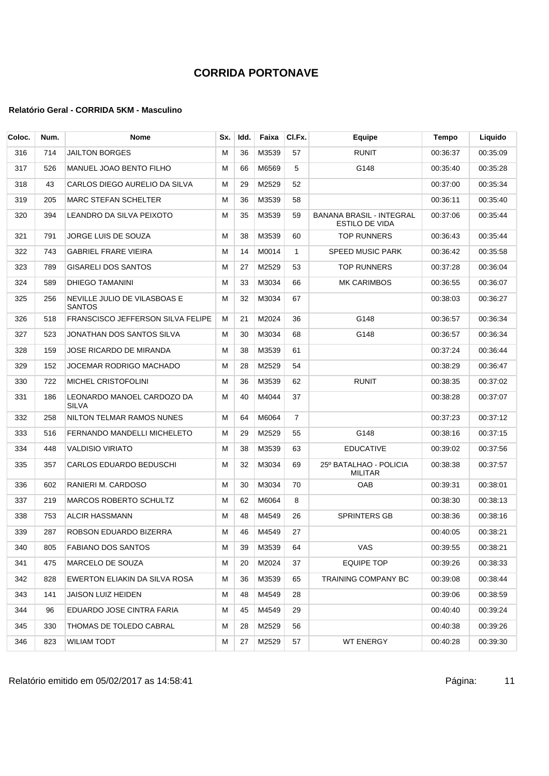| Coloc. | Num. | <b>Nome</b>                                   | Sx. | Idd. | Faixa | CI.Fx.         | Equipe                                                   | Tempo    | Liquido  |
|--------|------|-----------------------------------------------|-----|------|-------|----------------|----------------------------------------------------------|----------|----------|
| 316    | 714  | <b>JAILTON BORGES</b>                         | М   | 36   | M3539 | 57             | <b>RUNIT</b>                                             | 00:36:37 | 00:35:09 |
| 317    | 526  | MANUEL JOAO BENTO FILHO                       | м   | 66   | M6569 | 5              | G148                                                     | 00:35:40 | 00:35:28 |
| 318    | 43   | CARLOS DIEGO AURELIO DA SILVA                 | м   | 29   | M2529 | 52             |                                                          | 00:37:00 | 00:35:34 |
| 319    | 205  | <b>MARC STEFAN SCHELTER</b>                   | M   | 36   | M3539 | 58             |                                                          | 00:36:11 | 00:35:40 |
| 320    | 394  | LEANDRO DA SILVA PEIXOTO                      | M   | 35   | M3539 | 59             | <b>BANANA BRASIL - INTEGRAL</b><br><b>ESTILO DE VIDA</b> | 00:37:06 | 00:35:44 |
| 321    | 791  | JORGE LUIS DE SOUZA                           | M   | 38   | M3539 | 60             | <b>TOP RUNNERS</b>                                       | 00:36:43 | 00:35:44 |
| 322    | 743  | <b>GABRIEL FRARE VIEIRA</b>                   | М   | 14   | M0014 | $\mathbf{1}$   | <b>SPEED MUSIC PARK</b>                                  | 00:36:42 | 00:35:58 |
| 323    | 789  | <b>GISARELI DOS SANTOS</b>                    | М   | 27   | M2529 | 53             | <b>TOP RUNNERS</b>                                       | 00:37:28 | 00:36:04 |
| 324    | 589  | DHIEGO TAMANINI                               | M   | 33   | M3034 | 66             | MK CARIMBOS                                              | 00:36:55 | 00:36:07 |
| 325    | 256  | NEVILLE JULIO DE VILASBOAS E<br><b>SANTOS</b> | M   | 32   | M3034 | 67             |                                                          | 00:38:03 | 00:36:27 |
| 326    | 518  | <b>FRANSCISCO JEFFERSON SILVA FELIPE</b>      | м   | 21   | M2024 | 36             | G148                                                     | 00:36:57 | 00:36:34 |
| 327    | 523  | JONATHAN DOS SANTOS SILVA                     | м   | 30   | M3034 | 68             | G148                                                     | 00:36:57 | 00:36:34 |
| 328    | 159  | JOSE RICARDO DE MIRANDA                       | М   | 38   | M3539 | 61             |                                                          | 00:37:24 | 00:36:44 |
| 329    | 152  | JOCEMAR RODRIGO MACHADO                       | м   | 28   | M2529 | 54             |                                                          | 00:38:29 | 00:36:47 |
| 330    | 722  | <b>MICHEL CRISTOFOLINI</b>                    | M   | 36   | M3539 | 62             | <b>RUNIT</b>                                             | 00:38:35 | 00:37:02 |
| 331    | 186  | LEONARDO MANOEL CARDOZO DA<br>SILVA           | М   | 40   | M4044 | 37             |                                                          | 00:38:28 | 00:37:07 |
| 332    | 258  | NILTON TELMAR RAMOS NUNES                     | М   | 64   | M6064 | $\overline{7}$ |                                                          | 00:37:23 | 00:37:12 |
| 333    | 516  | FERNANDO MANDELLI MICHELETO                   | М   | 29   | M2529 | 55             | G148                                                     | 00:38:16 | 00:37:15 |
| 334    | 448  | <b>VALDISIO VIRIATO</b>                       | M   | 38   | M3539 | 63             | <b>EDUCATIVE</b>                                         | 00:39:02 | 00:37:56 |
| 335    | 357  | CARLOS EDUARDO BEDUSCHI                       | M   | 32   | M3034 | 69             | 25º BATALHAO - POLICIA<br><b>MILITAR</b>                 | 00:38:38 | 00:37:57 |
| 336    | 602  | RANIERI M. CARDOSO                            | М   | 30   | M3034 | 70             | OAB                                                      | 00:39:31 | 00:38:01 |
| 337    | 219  | MARCOS ROBERTO SCHULTZ                        | М   | 62   | M6064 | 8              |                                                          | 00:38:30 | 00:38:13 |
| 338    | 753  | <b>ALCIR HASSMANN</b>                         | М   | 48   | M4549 | 26             | <b>SPRINTERS GB</b>                                      | 00:38:36 | 00:38:16 |
| 339    | 287  | ROBSON EDUARDO BIZERRA                        | М   | 46   | M4549 | 27             |                                                          | 00:40:05 | 00:38:21 |
| 340    | 805  | <b>FABIANO DOS SANTOS</b>                     | м   | 39   | M3539 | 64             | VAS                                                      | 00:39:55 | 00:38:21 |
| 341    | 475  | MARCELO DE SOUZA                              | M   | 20   | M2024 | 37             | <b>EQUIPE TOP</b>                                        | 00:39:26 | 00:38:33 |
| 342    | 828  | EWERTON ELIAKIN DA SILVA ROSA                 | М   | 36   | M3539 | 65             | TRAINING COMPANY BC                                      | 00:39:08 | 00:38:44 |
| 343    | 141  | JAISON LUIZ HEIDEN                            | м   | 48   | M4549 | 28             |                                                          | 00:39:06 | 00:38:59 |
| 344    | 96   | EDUARDO JOSE CINTRA FARIA                     | M   | 45   | M4549 | 29             |                                                          | 00:40:40 | 00:39:24 |
| 345    | 330  | THOMAS DE TOLEDO CABRAL                       | М   | 28   | M2529 | 56             |                                                          | 00:40:38 | 00:39:26 |
| 346    | 823  | <b>WILIAM TODT</b>                            | M   | 27   | M2529 | 57             | <b>WT ENERGY</b>                                         | 00:40:28 | 00:39:30 |